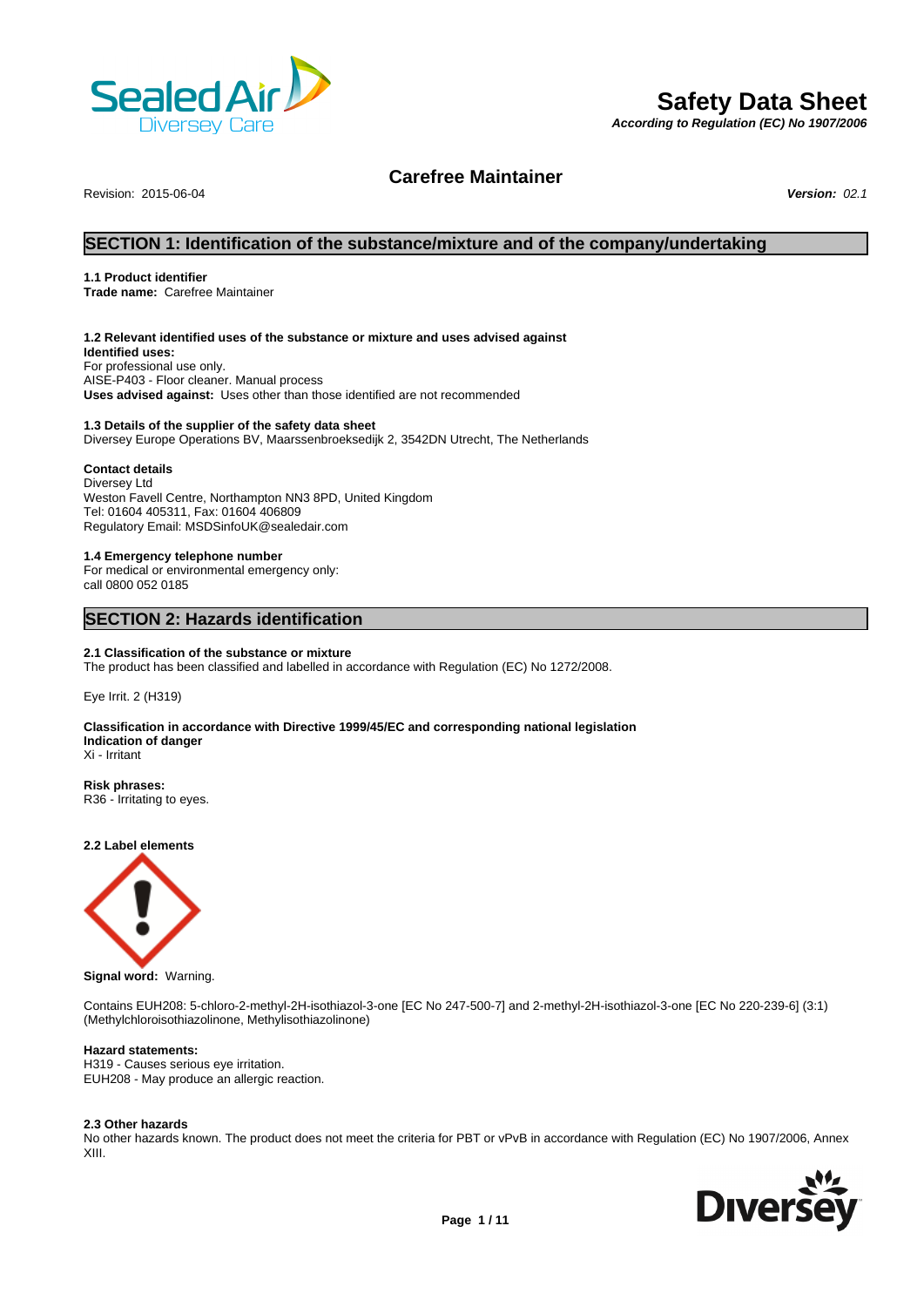

# **Safety Data Sheet**

*According to Regulation (EC) No 1907/2006*

# **Carefree Maintainer**

Revision: 2015-06-04 *Version: 02.1*

# **SECTION 1: Identification of the substance/mixture and of the company/undertaking**

# **1.1 Product identifier**

**Trade name:** Carefree Maintainer

## **1.2 Relevant identified uses of the substance or mixture and uses advised against**

**Identified uses:** For professional use only. AISE-P403 - Floor cleaner. Manual process **Uses advised against:** Uses other than those identified are not recommended

# **1.3 Details of the supplier of the safety data sheet**

Diversey Europe Operations BV, Maarssenbroeksedijk 2, 3542DN Utrecht, The Netherlands

# **Contact details**

Diversey Ltd Weston Favell Centre, Northampton NN3 8PD, United Kingdom Tel: 01604 405311, Fax: 01604 406809 Regulatory Email: MSDSinfoUK@sealedair.com

### **1.4 Emergency telephone number**

For medical or environmental emergency only: call 0800 052 0185

# **SECTION 2: Hazards identification**

# **2.1 Classification of the substance or mixture**

The product has been classified and labelled in accordance with Regulation (EC) No 1272/2008.

Eye Irrit. 2 (H319)

#### **Classification in accordance with Directive 1999/45/EC and corresponding national legislation Indication of danger** Xi - Irritant

**Risk phrases:**

R36 - Irritating to eyes.

**2.2 Label elements**



**Signal word:** Warning.

Contains EUH208: 5-chloro-2-methyl-2H-isothiazol-3-one [EC No 247-500-7] and 2-methyl-2H-isothiazol-3-one [EC No 220-239-6] (3:1) (Methylchloroisothiazolinone, Methylisothiazolinone)

# **Hazard statements:**

H319 - Causes serious eye irritation. EUH208 - May produce an allergic reaction.

#### **2.3 Other hazards**

No other hazards known. The product does not meet the criteria for PBT or vPvB in accordance with Regulation (EC) No 1907/2006, Annex XIII.

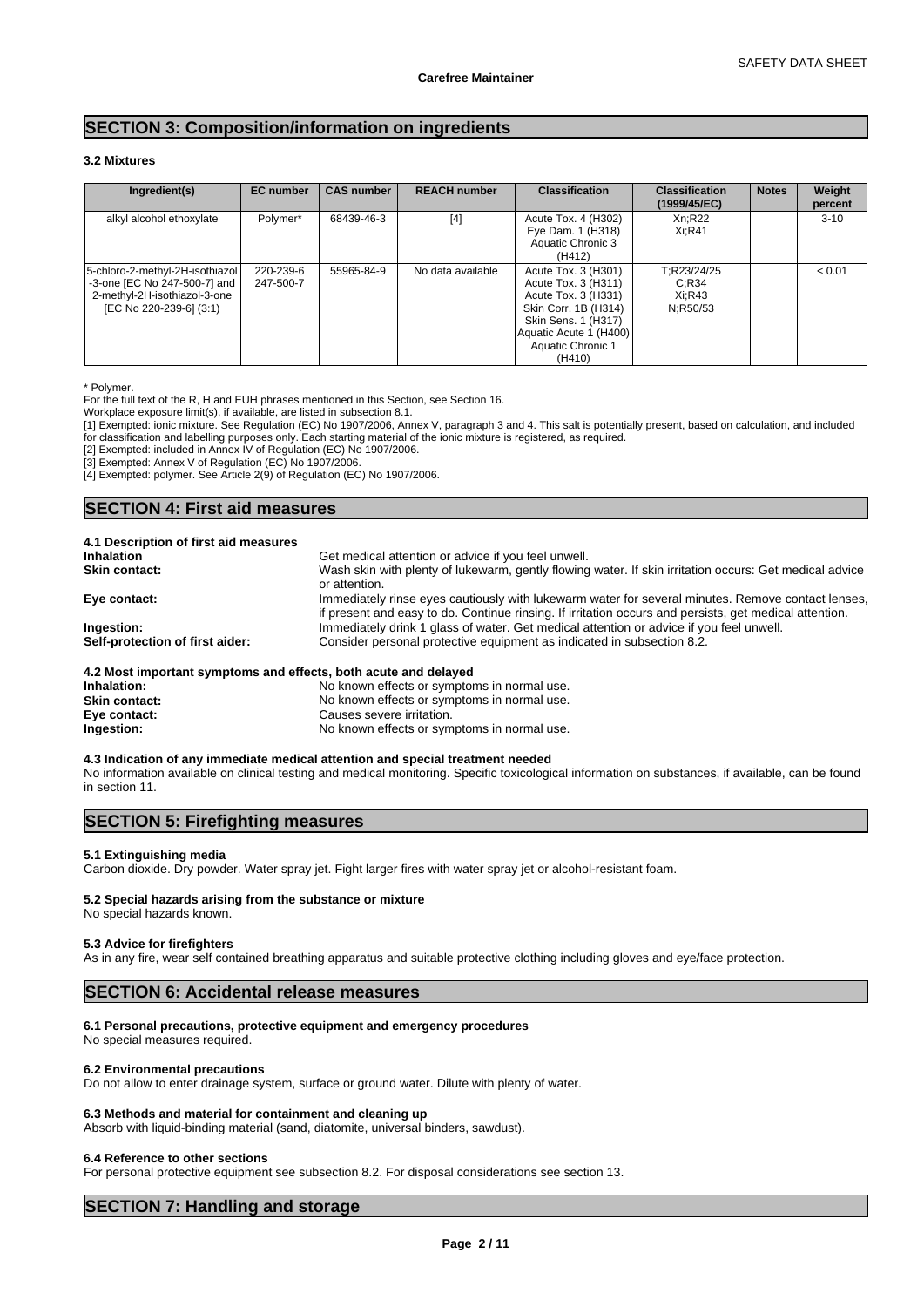# **SECTION 3: Composition/information on ingredients**

# **3.2 Mixtures**

| Ingredient(s)                                                                                                              | <b>EC</b> number       | <b>CAS number</b> | <b>REACH number</b> | <b>Classification</b>                                                                                                                                                     | <b>Classification</b><br>(1999/45/EC)      | <b>Notes</b> | Weight<br>percent |
|----------------------------------------------------------------------------------------------------------------------------|------------------------|-------------------|---------------------|---------------------------------------------------------------------------------------------------------------------------------------------------------------------------|--------------------------------------------|--------------|-------------------|
| alkyl alcohol ethoxylate                                                                                                   | Polymer*               | 68439-46-3        | [4]                 | Acute Tox. 4 (H302)<br>Eye Dam. 1 (H318)<br>Aquatic Chronic 3<br>(H412)                                                                                                   | Xn:R22<br>Xi:R41                           |              | $3 - 10$          |
| 5-chloro-2-methyl-2H-isothiazol<br>-3-one [EC No 247-500-7] and<br>2-methyl-2H-isothiazol-3-one<br>[EC No 220-239-6] (3:1) | 220-239-6<br>247-500-7 | 55965-84-9        | No data available   | Acute Tox. 3 (H301)<br>Acute Tox. 3 (H311)<br>Acute Tox. 3 (H331)<br>Skin Corr. 1B (H314)<br>Skin Sens. 1 (H317)<br>Aquatic Acute 1 (H400)<br>Aquatic Chronic 1<br>(H410) | T:R23/24/25<br>C:R34<br>Xi:R43<br>N:R50/53 |              | < 0.01            |

\* Polymer.

For the full text of the R, H and EUH phrases mentioned in this Section, see Section 16.

Workplace exposure limit(s), if available, are listed in subsection 8.1.

[1] Exempted: ionic mixture. See Regulation (EC) No 1907/2006, Annex V, paragraph 3 and 4. This salt is potentially present, based on calculation, and included for classification and labelling purposes only. Each starting material of the ionic mixture is registered, as required.

[2] Exempted: included in Annex IV of Regulation (EC) No 1907/2006.

[3] Exempted: Annex V of Regulation (EC) No 1907/2006.

[4] Exempted: polymer. See Article 2(9) of Regulation (EC) No 1907/2006.

# **SECTION 4: First aid measures**

| 4.1 Description of first aid measures                           |                                                                                                                                                                                                             |
|-----------------------------------------------------------------|-------------------------------------------------------------------------------------------------------------------------------------------------------------------------------------------------------------|
| <b>Inhalation</b>                                               | Get medical attention or advice if you feel unwell.                                                                                                                                                         |
| <b>Skin contact:</b>                                            | Wash skin with plenty of lukewarm, gently flowing water. If skin irritation occurs: Get medical advice<br>or attention.                                                                                     |
| Eye contact:                                                    | Immediately rinse eyes cautiously with lukewarm water for several minutes. Remove contact lenses,<br>if present and easy to do. Continue rinsing. If irritation occurs and persists, get medical attention. |
| Ingestion:                                                      | Immediately drink 1 glass of water. Get medical attention or advice if you feel unwell.                                                                                                                     |
| Self-protection of first aider:                                 | Consider personal protective equipment as indicated in subsection 8.2.                                                                                                                                      |
| 4.2 Most important symptoms and effects, both acute and delayed |                                                                                                                                                                                                             |

| Inhalation:          | No known effects or symptoms in normal use. |
|----------------------|---------------------------------------------|
| <b>Skin contact:</b> | No known effects or symptoms in normal use. |
| Eye contact:         | Causes severe irritation.                   |
| Ingestion:           | No known effects or symptoms in normal use. |

#### **4.3 Indication of any immediate medical attention and special treatment needed**

No information available on clinical testing and medical monitoring. Specific toxicological information on substances, if available, can be found in section 11.

# **SECTION 5: Firefighting measures**

# **5.1 Extinguishing media**

Carbon dioxide. Dry powder. Water spray jet. Fight larger fires with water spray jet or alcohol-resistant foam.

### **5.2 Special hazards arising from the substance or mixture**

No special hazards known.

#### **5.3 Advice for firefighters**

As in any fire, wear self contained breathing apparatus and suitable protective clothing including gloves and eye/face protection.

# **SECTION 6: Accidental release measures**

# **6.1 Personal precautions, protective equipment and emergency procedures**

No special measures required.

#### **6.2 Environmental precautions**

Do not allow to enter drainage system, surface or ground water. Dilute with plenty of water.

# **6.3 Methods and material for containment and cleaning up**

Absorb with liquid-binding material (sand, diatomite, universal binders, sawdust).

### **6.4 Reference to other sections**

For personal protective equipment see subsection 8.2. For disposal considerations see section 13.

# **SECTION 7: Handling and storage**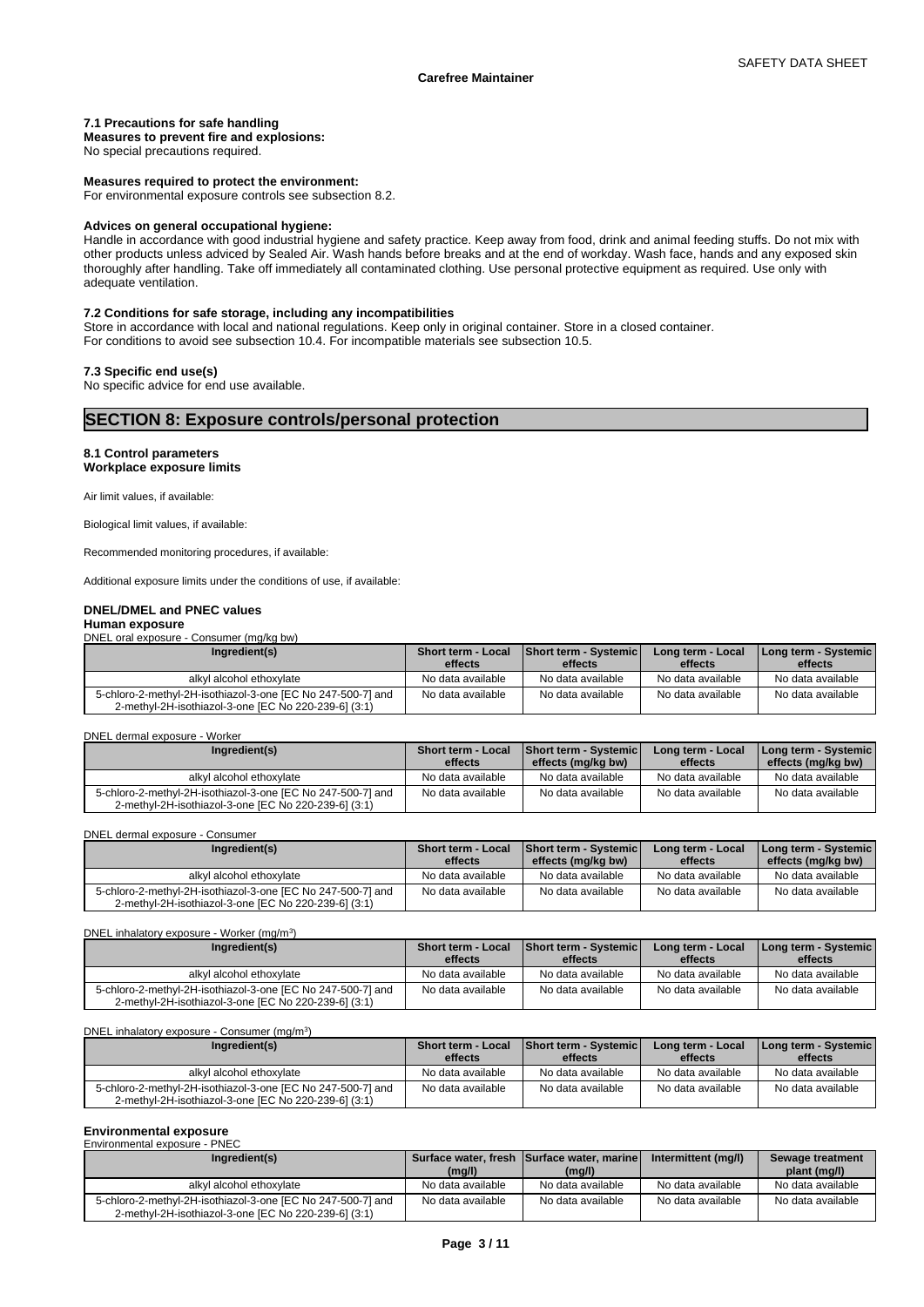# **7.1 Precautions for safe handling**

**Measures to prevent fire and explosions:**

No special precautions required.

#### **Measures required to protect the environment:**

For environmental exposure controls see subsection 8.2.

#### **Advices on general occupational hygiene:**

Handle in accordance with good industrial hygiene and safety practice. Keep away from food, drink and animal feeding stuffs. Do not mix with other products unless adviced by Sealed Air. Wash hands before breaks and at the end of workday. Wash face, hands and any exposed skin thoroughly after handling. Take off immediately all contaminated clothing. Use personal protective equipment as required. Use only with adequate ventilation.

# **7.2 Conditions for safe storage, including any incompatibilities**

Store in accordance with local and national regulations. Keep only in original container. Store in a closed container. For conditions to avoid see subsection 10.4. For incompatible materials see subsection 10.5.

# **7.3 Specific end use(s)**

No specific advice for end use available.

# **SECTION 8: Exposure controls/personal protection**

# **8.1 Control parameters Workplace exposure limits**

Air limit values, if available:

Biological limit values, if available:

Recommended monitoring procedures, if available:

Additional exposure limits under the conditions of use, if available:

# **DNEL/DMEL and PNEC values**

# **Human exposure**

DNEL oral exposure - Consumer (mg/kg bw)

| Ingredient(s)                                                                                                       | <b>Short term - Local</b><br>effects | Short term - Systemic<br>effects | Long term - Local<br>effects | Long term - Systemic  <br>effects |
|---------------------------------------------------------------------------------------------------------------------|--------------------------------------|----------------------------------|------------------------------|-----------------------------------|
| alkyl alcohol ethoxylate                                                                                            | No data available                    | No data available                | No data available            | No data available                 |
| 5-chloro-2-methyl-2H-isothiazol-3-one [EC No 247-500-7] and<br>2-methyl-2H-isothiazol-3-one IEC No 220-239-61 (3:1) | No data available                    | No data available                | No data available            | No data available                 |

### DNEL dermal exposure - Worker

| Ingredient(s)                                                                                                       | Short term - Local<br>effects | <b>Short term - Systemic</b><br>effects (mg/kg bw) | Long term - Local<br>effects | Long term - Systemic  <br>effects (mg/kg bw) |
|---------------------------------------------------------------------------------------------------------------------|-------------------------------|----------------------------------------------------|------------------------------|----------------------------------------------|
| alkyl alcohol ethoxylate                                                                                            | No data available             | No data available                                  | No data available            | No data available                            |
| 5-chloro-2-methyl-2H-isothiazol-3-one [EC No 247-500-7] and<br>2-methyl-2H-isothiazol-3-one [EC No 220-239-6] (3:1) | No data available             | No data available                                  | No data available            | No data available                            |

DNEL dermal exposure - Consumer

| Ingredient(s)                                                                                                       | <b>Short term - Local</b><br>effects | <b>Short term - Systemic</b><br>effects (mg/kg bw) | Long term - Local<br>effects | Long term - Systemic  <br>effects (mg/kg bw) |
|---------------------------------------------------------------------------------------------------------------------|--------------------------------------|----------------------------------------------------|------------------------------|----------------------------------------------|
| alkyl alcohol ethoxylate                                                                                            | No data available                    | No data available                                  | No data available            | No data available                            |
| 5-chloro-2-methyl-2H-isothiazol-3-one [EC No 247-500-7] and<br>2-methyl-2H-isothiazol-3-one [EC No 220-239-6] (3:1) | No data available                    | No data available                                  | No data available            | No data available                            |

DNEL inhalatory exposure - Worker (mg/m<sup>3</sup> ) and  $\overline{\phantom{a}}$ 

| Ingredient(s)                                                                                                       | <b>Short term - Local</b><br>effects | Short term - Systemic<br>effects | Long term - Local<br>effects | I Long term - Systemic I<br>effects |
|---------------------------------------------------------------------------------------------------------------------|--------------------------------------|----------------------------------|------------------------------|-------------------------------------|
| alkyl alcohol ethoxylate                                                                                            | No data available                    | No data available                | No data available            | No data available                   |
| 5-chloro-2-methyl-2H-isothiazol-3-one [EC No 247-500-7] and<br>2-methyl-2H-isothiazol-3-one [EC No 220-239-6] (3:1) | No data available                    | No data available                | No data available            | No data available                   |

DNEL inhalatory exposure - Consumer (mg/m<sup>3</sup>  $)$ 

| Ingredient(s)                                                                                                       | <b>Short term - Local</b><br>effects | Short term - Systemic<br>effects | Long term - Local<br>effects | Long term - Systemic  <br>effects |
|---------------------------------------------------------------------------------------------------------------------|--------------------------------------|----------------------------------|------------------------------|-----------------------------------|
| alkyl alcohol ethoxylate                                                                                            | No data available                    | No data available                | No data available            | No data available                 |
| 5-chloro-2-methyl-2H-isothiazol-3-one [EC No 247-500-7] and<br>2-methyl-2H-isothiazol-3-one IEC No 220-239-61 (3:1) | No data available                    | No data available                | No data available            | No data available                 |

#### **Environmental exposure** Environmental exposure - PNEC

| Ingredient(s)                                                                                                       |                   | Surface water, fresh Surface water, marine | Intermittent (mg/l) | Sewage treatment  |
|---------------------------------------------------------------------------------------------------------------------|-------------------|--------------------------------------------|---------------------|-------------------|
|                                                                                                                     | (mg/l)            | (mg/l)                                     |                     | plant (mg/l)      |
| alkvl alcohol ethoxvlate                                                                                            | No data available | No data available                          | No data available   | No data available |
| 5-chloro-2-methyl-2H-isothiazol-3-one [EC No 247-500-7] and<br>2-methyl-2H-isothiazol-3-one [EC No 220-239-6] (3:1) | No data available | No data available                          | No data available   | No data available |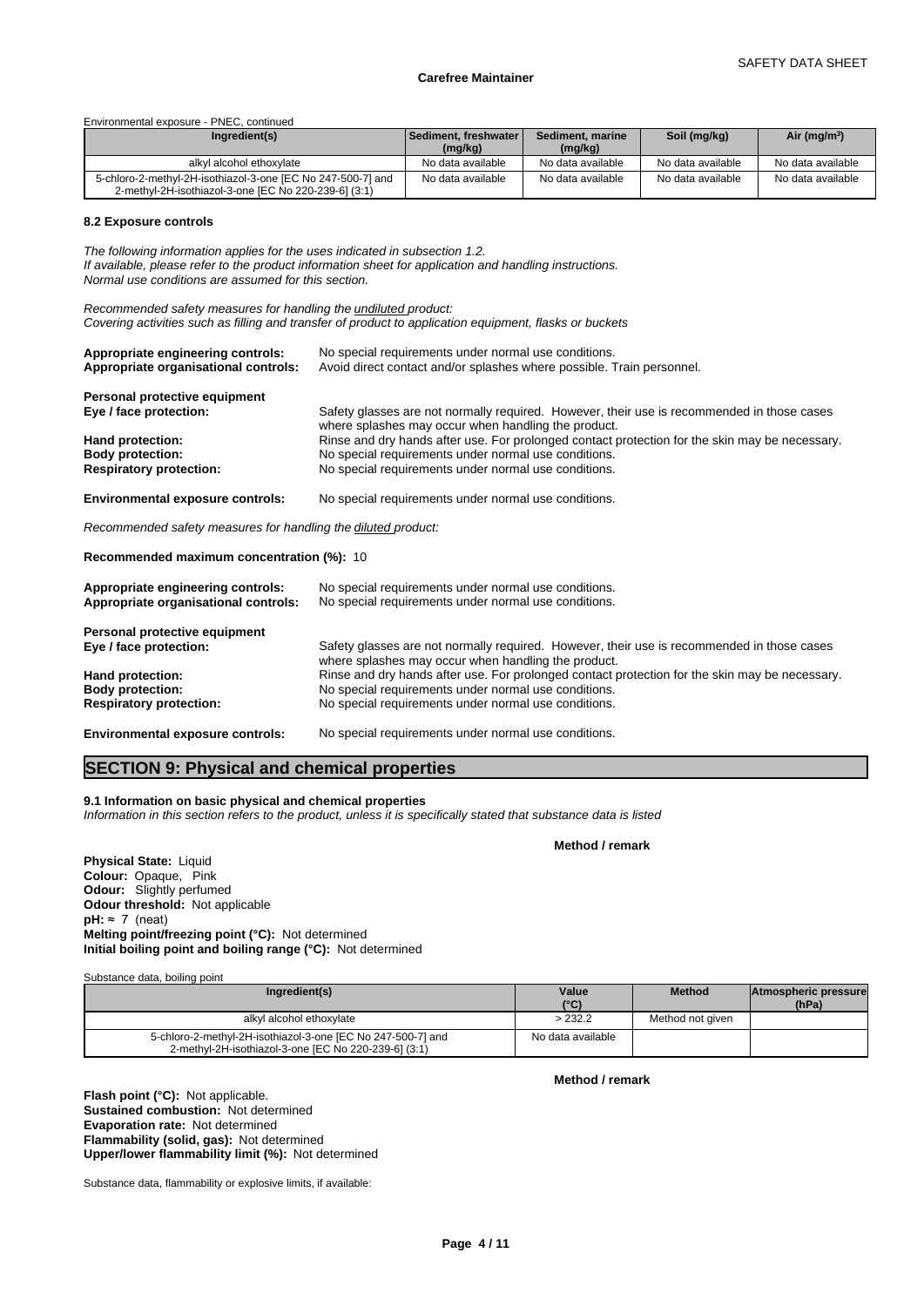Environmental exposure - PNEC, continued

| Ingredient(s)                                                                                                       | l Sediment. freshwater l<br>(mg/kg) | Sediment, marine<br>(mg/kg) | Soil (mg/kg)      | Air (mg/m <sup>3</sup> ) |
|---------------------------------------------------------------------------------------------------------------------|-------------------------------------|-----------------------------|-------------------|--------------------------|
| alkyl alcohol ethoxylate                                                                                            | No data available                   | No data available           | No data available | No data available        |
| 5-chloro-2-methyl-2H-isothiazol-3-one [EC No 247-500-7] and<br>2-methyl-2H-isothiazol-3-one [EC No 220-239-6] (3:1) | No data available                   | No data available           | No data available | No data available        |

#### **8.2 Exposure controls**

*The following information applies for the uses indicated in subsection 1.2. If available, please refer to the product information sheet for application and handling instructions. Normal use conditions are assumed for this section.*

*Recommended safety measures for handling the undiluted product: Covering activities such as filling and transfer of product to application equipment, flasks or buckets*

| Appropriate engineering controls:    | No special requirements under normal use conditions.                                           |
|--------------------------------------|------------------------------------------------------------------------------------------------|
| Appropriate organisational controls: | Avoid direct contact and/or splashes where possible. Train personnel.                          |
| Personal protective equipment        | Safety glasses are not normally required. However, their use is recommended in those cases     |
| Eye / face protection:               | where splashes may occur when handling the product.                                            |
| Hand protection:                     | Rinse and dry hands after use. For prolonged contact protection for the skin may be necessary. |
| <b>Body protection:</b>              | No special requirements under normal use conditions.                                           |
| <b>Respiratory protection:</b>       | No special requirements under normal use conditions.                                           |

**Environmental exposure controls:** No special requirements under normal use conditions.

*Recommended safety measures for handling the diluted product:*

**Recommended maximum concentration (%):** 10

| Appropriate engineering controls:<br>Appropriate organisational controls: | No special requirements under normal use conditions.<br>No special requirements under normal use conditions.                                      |
|---------------------------------------------------------------------------|---------------------------------------------------------------------------------------------------------------------------------------------------|
| Personal protective equipment                                             |                                                                                                                                                   |
| Eye / face protection:                                                    | Safety glasses are not normally required. However, their use is recommended in those cases<br>where splashes may occur when handling the product. |
| Hand protection:                                                          | Rinse and dry hands after use. For prolonged contact protection for the skin may be necessary.                                                    |
| <b>Body protection:</b>                                                   | No special requirements under normal use conditions.                                                                                              |
| <b>Respiratory protection:</b>                                            | No special requirements under normal use conditions.                                                                                              |

**Environmental exposure controls:** No special requirements under normal use conditions.

# **SECTION 9: Physical and chemical properties**

#### **9.1 Information on basic physical and chemical properties**

*Information in this section refers to the product, unless it is specifically stated that substance data is listed*

**Physical State:** Liquid **Colour:** Opaque, Pink **Odour:** Slightly perfumed **Odour threshold:** Not applicable  $pH: \approx 7$  (neat) **Melting point/freezing point (°C):** Not determined **Initial boiling point and boiling range (°C):** Not determined

Substance data, boiling point

| Ingredient(s)                                                                                                       | Value<br>$(^{\circ}C)$ | <b>Method</b>    | Atmospheric pressure<br>(hPa) |  |
|---------------------------------------------------------------------------------------------------------------------|------------------------|------------------|-------------------------------|--|
| alkyl alcohol ethoxylate                                                                                            | >232.2                 | Method not given |                               |  |
| 5-chloro-2-methyl-2H-isothiazol-3-one [EC No 247-500-7] and<br>2-methyl-2H-isothiazol-3-one [EC No 220-239-6] (3:1) | No data available      |                  |                               |  |

**Flash point (°C):** Not applicable. **Sustained combustion:** Not determined **Evaporation rate:** Not determined **Flammability (solid, gas):** Not determined **Upper/lower flammability limit (%):** Not determined

Substance data, flammability or explosive limits, if available:

**Method / remark**

**Method / remark**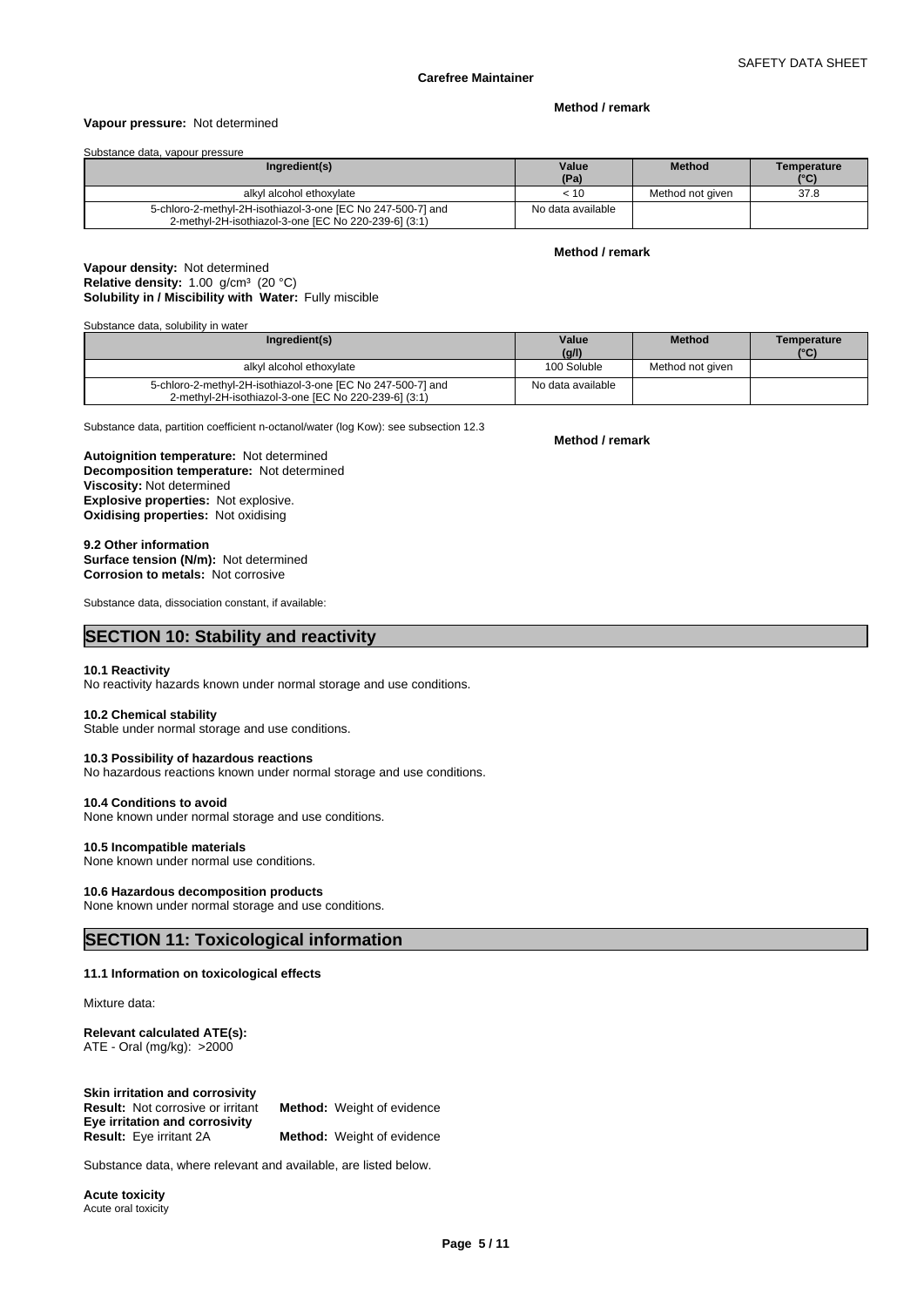#### **Vapour pressure:** Not determined

# **Method / remark**

Substance data, vapour pressure

| Ingredient(s)                                                                                                       | Value<br>(Pa)     | <b>Method</b>    | Temperature<br>(°C) |
|---------------------------------------------------------------------------------------------------------------------|-------------------|------------------|---------------------|
| alkyl alcohol ethoxylate                                                                                            | < 10              | Method not given | 37.8                |
| 5-chloro-2-methyl-2H-isothiazol-3-one [EC No 247-500-7] and<br>2-methyl-2H-isothiazol-3-one [EC No 220-239-6] (3:1) | No data available |                  |                     |

**Method / remark**

# **Solubility in / Miscibility with Water:** Fully miscible **Vapour density:** Not determined **Relative density:** 1.00 g/cm<sup>3</sup> (20 °C)

Substance data, solubility in water

| Ingredient(s)                                               | Value             | <b>Method</b>    | Temperature |
|-------------------------------------------------------------|-------------------|------------------|-------------|
|                                                             | (g/l)             |                  | (°C)        |
| alkyl alcohol ethoxylate                                    | 100 Soluble       | Method not aiven |             |
| 5-chloro-2-methyl-2H-isothiazol-3-one [EC No 247-500-7] and | No data available |                  |             |
| 2-methyl-2H-isothiazol-3-one [EC No 220-239-6] (3:1)        |                   |                  |             |

Substance data, partition coefficient n-octanol/water (log Kow): see subsection 12.3

**Decomposition temperature:** Not determined **Autoignition temperature:** Not determined **Viscosity:** Not determined **Explosive properties:** Not explosive. **Oxidising properties:** Not oxidising

### **9.2 Other information**

**Surface tension (N/m):** Not determined **Corrosion to metals:** Not corrosive

Substance data, dissociation constant, if available:

# **SECTION 10: Stability and reactivity**

# **10.1 Reactivity**

No reactivity hazards known under normal storage and use conditions.

#### **10.2 Chemical stability**

Stable under normal storage and use conditions.

# No hazardous reactions known under normal storage and use conditions.

**10.4 Conditions to avoid**

None known under normal storage and use conditions.

#### **10.5 Incompatible materials**

None known under normal use conditions.

**10.3 Possibility of hazardous reactions**

#### **10.6 Hazardous decomposition products**

None known under normal storage and use conditions.

# **SECTION 11: Toxicological information**

# **11.1 Information on toxicological effects**

Mixture data:

**Relevant calculated ATE(s):** ATE - Oral (mg/kg): >2000

| Skin irritation and corrosivity          |                                   |
|------------------------------------------|-----------------------------------|
| <b>Result:</b> Not corrosive or irritant | <b>Method:</b> Weight of evidence |
| Eye irritation and corrosivity           |                                   |
| <b>Result:</b> Eye irritant 2A           | <b>Method:</b> Weight of evidence |

Substance data, where relevant and available, are listed below.

**Acute toxicity** Acute oral toxicity **Method / remark**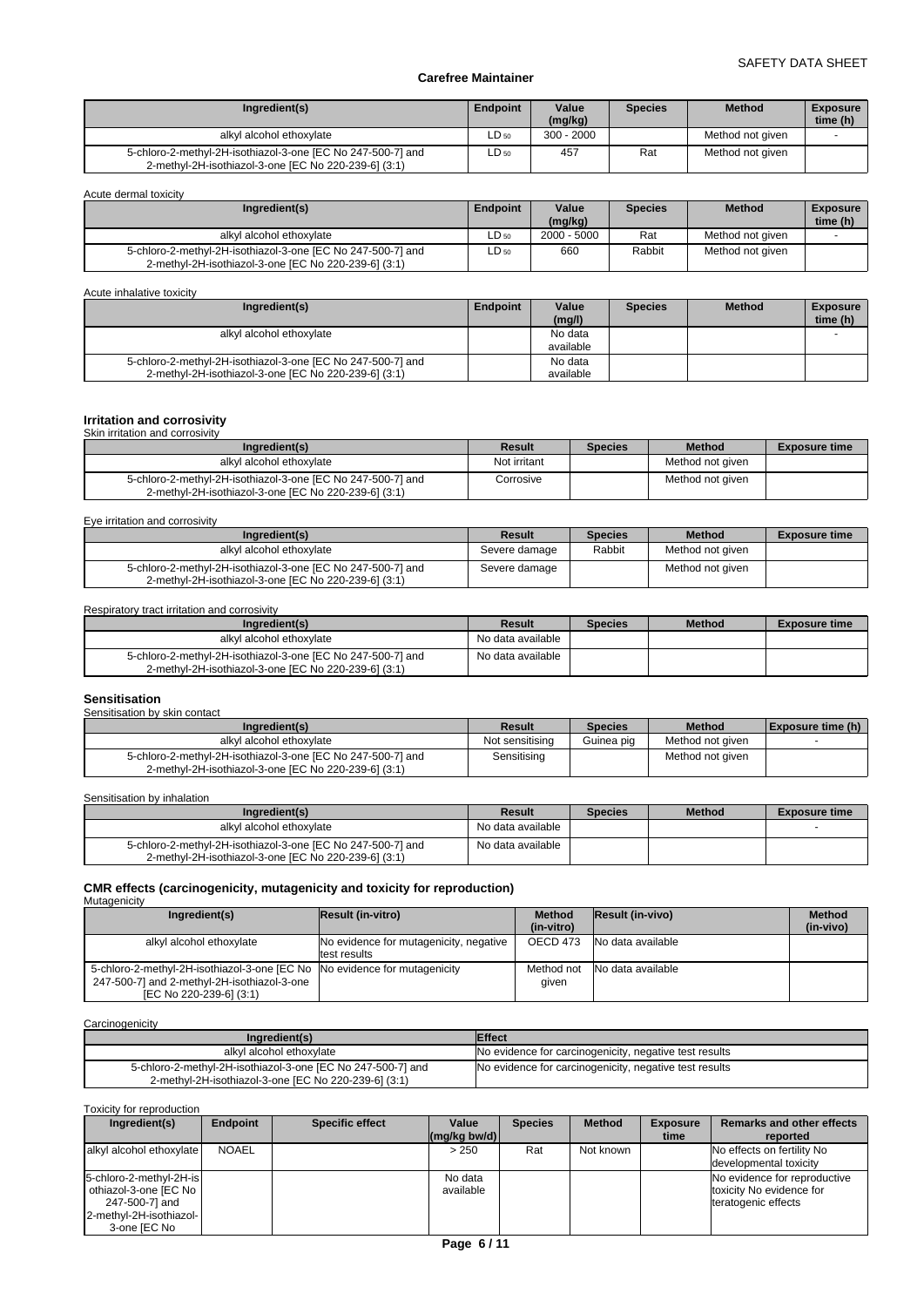| Ingredient(s)                                                                                                       | <b>Endpoint</b> | Value<br>(mg/kg) | <b>Species</b> | <b>Method</b>    | <b>Exposure</b><br>time (h) |
|---------------------------------------------------------------------------------------------------------------------|-----------------|------------------|----------------|------------------|-----------------------------|
| alkyl alcohol ethoxylate                                                                                            | $LD_{50}$       | $300 - 2000$     |                | Method not given |                             |
| 5-chloro-2-methyl-2H-isothiazol-3-one [EC No 247-500-7] and<br>2-methyl-2H-isothiazol-3-one [EC No 220-239-6] (3:1) | LD 50           | 457              | Rat            | Method not given |                             |

Acute dermal toxicity

| Ingredient(s)                                                                                                       | <b>Endpoint</b> | Value<br>(mg/kg) | <b>Species</b> | <b>Method</b>    | <b>Exposure</b><br>time (h) |
|---------------------------------------------------------------------------------------------------------------------|-----------------|------------------|----------------|------------------|-----------------------------|
| alkyl alcohol ethoxylate                                                                                            | $LD_{50}$       | $2000 - 5000$    | Rat            | Method not given |                             |
| 5-chloro-2-methyl-2H-isothiazol-3-one [EC No 247-500-7] and<br>2-methyl-2H-isothiazol-3-one [EC No 220-239-6] (3:1) | ∟D 50           | 660              | Rabbit         | Method not aiven |                             |

Acute inhalative toxicity

| Ingredient(s)                                                                                                       | Endpoint | Value<br>(mg/l)      | <b>Species</b> | <b>Method</b> | <b>Exposure</b><br>time (h) |
|---------------------------------------------------------------------------------------------------------------------|----------|----------------------|----------------|---------------|-----------------------------|
| alkyl alcohol ethoxylate                                                                                            |          | No data<br>available |                |               |                             |
| 5-chloro-2-methyl-2H-isothiazol-3-one [EC No 247-500-7] and<br>2-methyl-2H-isothiazol-3-one [EC No 220-239-6] (3:1) |          | No data<br>available |                |               |                             |

# **Irritation and corrosivity** Skin irritation and corrosivity

| Ingredient(s)                                                                                                       | Result       | <b>Species</b> | <b>Method</b>    | <b>Exposure time</b> |
|---------------------------------------------------------------------------------------------------------------------|--------------|----------------|------------------|----------------------|
| alkyl alcohol ethoxylate                                                                                            | Not irritant |                | Method not given |                      |
| 5-chloro-2-methyl-2H-isothiazol-3-one [EC No 247-500-7] and<br>2-methyl-2H-isothiazol-3-one IEC No 220-239-61 (3:1) | Corrosive    |                | Method not given |                      |

Eye irritation and corrosivity

| Ingredient(s)                                                                                                       | Result        | <b>Species</b> | <b>Method</b>    | <b>Exposure time</b> |
|---------------------------------------------------------------------------------------------------------------------|---------------|----------------|------------------|----------------------|
| alkyl alcohol ethoxylate                                                                                            | Severe damage | Rabbit         | Method not given |                      |
| 5-chloro-2-methyl-2H-isothiazol-3-one [EC No 247-500-7] and<br>2-methyl-2H-isothiazol-3-one IEC No 220-239-61 (3:1) | Severe damage |                | Method not aiven |                      |

# Respiratory tract irritation and corrosivity

| Ingredient(s)                                               | Result            | <b>Species</b> | <b>Method</b> | <b>Exposure time</b> |
|-------------------------------------------------------------|-------------------|----------------|---------------|----------------------|
| alkyl alcohol ethoxylate                                    | No data available |                |               |                      |
| 5-chloro-2-methyl-2H-isothiazol-3-one [EC No 247-500-7] and | No data available |                |               |                      |
| 2-methyl-2H-isothiazol-3-one IEC No 220-239-61 (3:1)        |                   |                |               |                      |

# **Sensitisation** Sensitisation by skin contact

| <b>OCHURUGHOFF DY UNIFI CONGO</b>                                                                                   |                 |                |                  |                          |  |  |
|---------------------------------------------------------------------------------------------------------------------|-----------------|----------------|------------------|--------------------------|--|--|
| Ingredient(s)                                                                                                       | Result          | <b>Species</b> | <b>Method</b>    | <b>Exposure time (h)</b> |  |  |
| alkyl alcohol ethoxylate                                                                                            | Not sensitising | Guinea pig     | Method not given |                          |  |  |
| 5-chloro-2-methyl-2H-isothiazol-3-one [EC No 247-500-7] and<br>2-methyl-2H-isothiazol-3-one [EC No 220-239-6] (3:1) | Sensitising     |                | Method not given |                          |  |  |

Sensitisation by inhalation

| Ingredient(s)                                                                                                       | Result            | <b>Species</b> | <b>Method</b> | <b>Exposure time</b> |
|---------------------------------------------------------------------------------------------------------------------|-------------------|----------------|---------------|----------------------|
| alkyl alcohol ethoxylate                                                                                            | No data available |                |               |                      |
| 5-chloro-2-methyl-2H-isothiazol-3-one [EC No 247-500-7] and<br>2-methyl-2H-isothiazol-3-one [EC No 220-239-6] (3:1) | No data available |                |               |                      |

# **CMR effects (carcinogenicity, mutagenicity and toxicity for reproduction)** Mutagenicity

| Ingredient(s)                                                                                                                                       | <b>Result (in-vitro)</b>                               | <b>Method</b><br>(in-vitro) | <b>Result (in-vivo)</b> | <b>Method</b><br>(in-vivo) |
|-----------------------------------------------------------------------------------------------------------------------------------------------------|--------------------------------------------------------|-----------------------------|-------------------------|----------------------------|
| alkyl alcohol ethoxylate                                                                                                                            | No evidence for mutagenicity, negative<br>test results | OECD 473                    | No data available       |                            |
| 5-chloro-2-methyl-2H-isothiazol-3-one [EC No No evidence for mutagenicity<br>247-500-7] and 2-methyl-2H-isothiazol-3-one<br>[EC No 220-239-6] (3:1) |                                                        | Method not<br>qiven         | No data available       |                            |

**Carcinogenicity** 

| Ingredient(s)                                                                                                       | <b>Effect</b>                                          |
|---------------------------------------------------------------------------------------------------------------------|--------------------------------------------------------|
| alkyl alcohol ethoxylate                                                                                            | No evidence for carcinogenicity, negative test results |
| 5-chloro-2-methyl-2H-isothiazol-3-one [EC No 247-500-7] and<br>2-methyl-2H-isothiazol-3-one [EC No 220-239-6] (3:1) | No evidence for carcinogenicity, negative test results |

Toxicity for reproduction

| Ingredient(s)                                                                                                   | Endpoint | <b>Specific effect</b> | Value<br>$(mq/kg$ bw/d) | <b>Species</b> | <b>Method</b> | <b>Exposure</b><br>time | <b>Remarks and other effects</b><br>reported                                    |
|-----------------------------------------------------------------------------------------------------------------|----------|------------------------|-------------------------|----------------|---------------|-------------------------|---------------------------------------------------------------------------------|
| alkyl alcohol ethoxylate                                                                                        | NOAEL    |                        | > 250                   | Rat            | Not known     |                         | No effects on fertility No<br>developmental toxicity                            |
| 5-chloro-2-methyl-2H-is<br>othiazol-3-one [EC No ]<br>247-500-7] and<br>2-methyl-2H-isothiazol-<br>3-one IEC No |          |                        | No data<br>available    |                |               |                         | No evidence for reproductive<br>toxicity No evidence for<br>teratogenic effects |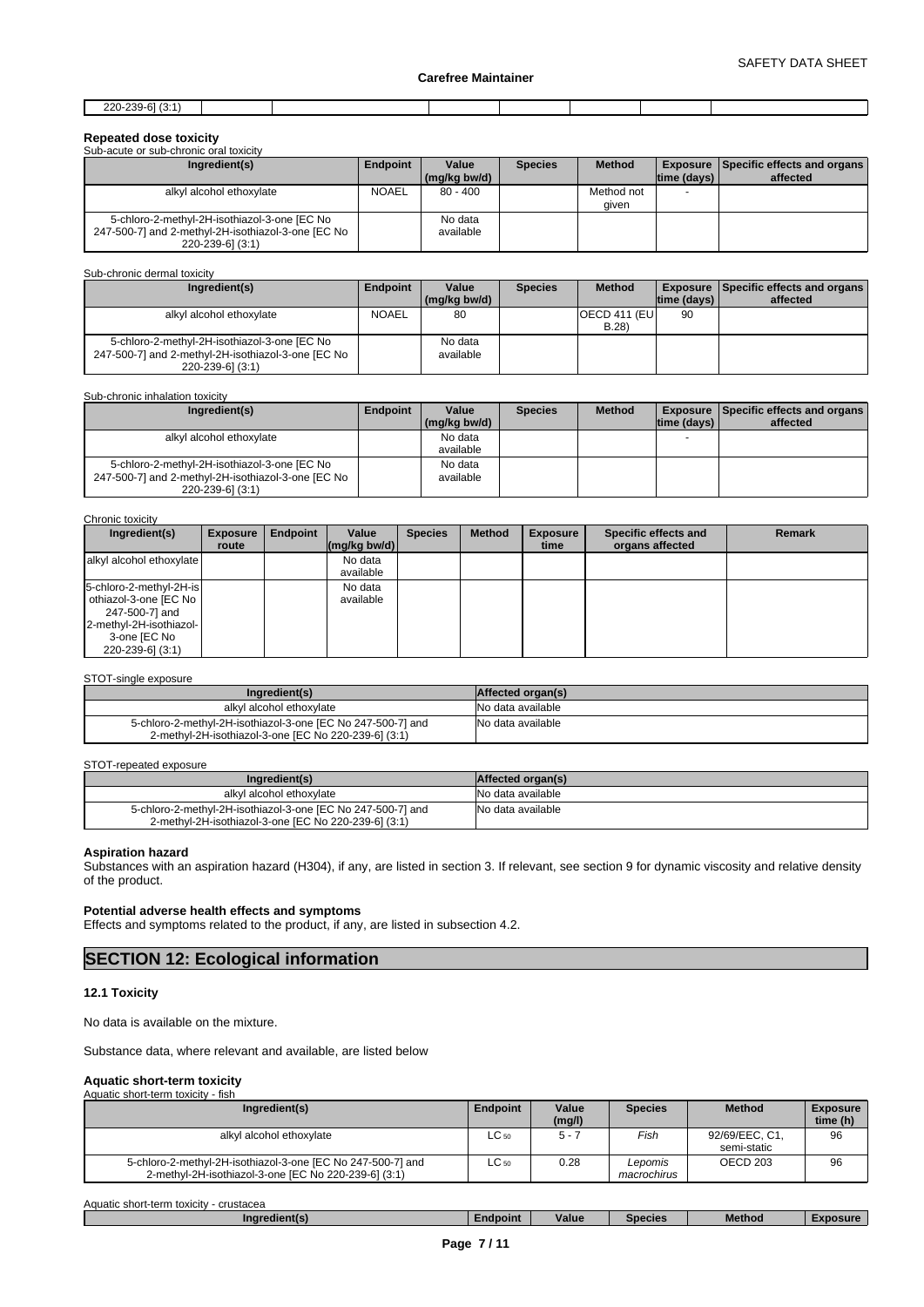| 220.220. $61/2$<br>ZZU-ZJY-<br>ונז-ו |  |  |  |  |
|--------------------------------------|--|--|--|--|
|                                      |  |  |  |  |

# **Repeated dose toxicity**

| Sub-acute or sub-chronic oral toxicity             |              |                       |                |               |                          |                                                             |
|----------------------------------------------------|--------------|-----------------------|----------------|---------------|--------------------------|-------------------------------------------------------------|
| Ingredient(s)                                      | Endpoint     | Value<br>(mg/kg bw/d) | <b>Species</b> | <b>Method</b> | $ time$ (days) $ $       | <b>Exposure   Specific effects and organs  </b><br>affected |
|                                                    |              |                       |                |               |                          |                                                             |
| alkyl alcohol ethoxylate                           | <b>NOAEL</b> | $80 - 400$            |                | Method not    | $\overline{\phantom{0}}$ |                                                             |
|                                                    |              |                       |                | given         |                          |                                                             |
| 5-chloro-2-methyl-2H-isothiazol-3-one [EC No       |              | No data               |                |               |                          |                                                             |
| 247-500-7] and 2-methyl-2H-isothiazol-3-one [EC No |              | available             |                |               |                          |                                                             |
| 220-239-6] (3:1)                                   |              |                       |                |               |                          |                                                             |

# Sub-chronic dermal toxicity

| Ingredient(s)                                      | <b>Endpoint</b> | Value        | <b>Species</b> | <b>Method</b>         |             | <b>Exposure   Specific effects and organs  </b> |
|----------------------------------------------------|-----------------|--------------|----------------|-----------------------|-------------|-------------------------------------------------|
|                                                    |                 | (mg/kg bw/d) |                |                       | time (days) | affected                                        |
| alkyl alcohol ethoxylate                           | NOAEL           | 80           |                | <b>OECD 411 (EUI)</b> | 90          |                                                 |
|                                                    |                 |              |                | B.28                  |             |                                                 |
| 5-chloro-2-methyl-2H-isothiazol-3-one [EC No       |                 | No data      |                |                       |             |                                                 |
| 247-500-7] and 2-methyl-2H-isothiazol-3-one [EC No |                 | available    |                |                       |             |                                                 |
| $220 - 239 - 6$ ] (3:1)                            |                 |              |                |                       |             |                                                 |

#### Sub-chronic inhalation toxicity

| Ingredient(s)                                      | Endpoint | Value<br>(ma/ka bw/d) | <b>Species</b> | <b>Method</b> | Itime (davs) I | <b>Exposure   Specific effects and organs  </b><br>affected |
|----------------------------------------------------|----------|-----------------------|----------------|---------------|----------------|-------------------------------------------------------------|
| alkyl alcohol ethoxylate                           |          | No data               |                |               | -              |                                                             |
|                                                    |          | available             |                |               |                |                                                             |
| 5-chloro-2-methyl-2H-isothiazol-3-one [EC No       |          | No data               |                |               |                |                                                             |
| 247-500-7] and 2-methyl-2H-isothiazol-3-one [EC No |          | available             |                |               |                |                                                             |
| 220-239-6] (3:1)                                   |          |                       |                |               |                |                                                             |

### Chronic toxicity

| Ingredient(s)                                                                                                                     | <b>Exposure</b><br>route | Endpoint | Value<br>$\left \frac{\text{mg}}{\text{kg}}\right $ bw/d) | <b>Species</b> | <b>Method</b> | <b>Exposure</b><br>time | Specific effects and<br>organs affected | <b>Remark</b> |
|-----------------------------------------------------------------------------------------------------------------------------------|--------------------------|----------|-----------------------------------------------------------|----------------|---------------|-------------------------|-----------------------------------------|---------------|
| alkyl alcohol ethoxylate                                                                                                          |                          |          | No data<br>available                                      |                |               |                         |                                         |               |
| 5-chloro-2-methyl-2H-is<br>othiazol-3-one [EC No<br>247-500-7] and<br>2-methyl-2H-isothiazol-<br>3-one [EC No<br>220-239-6] (3:1) |                          |          | No data<br>available                                      |                |               |                         |                                         |               |

### STOT-single exposure

| Ingredient(s)                                               | Affected organ(s)  |
|-------------------------------------------------------------|--------------------|
| alkyl alcohol ethoxylate                                    | INo data available |
| 5-chloro-2-methyl-2H-isothiazol-3-one [EC No 247-500-7] and | No data available  |
| 2-methyl-2H-isothiazol-3-one [EC No 220-239-6] (3:1)        |                    |

#### STOT-repeated exposure

| Ingredient(s)                                               | Affected organ(s) |
|-------------------------------------------------------------|-------------------|
| alkyl alcohol ethoxylate                                    | No data available |
| 5-chloro-2-methyl-2H-isothiazol-3-one [EC No 247-500-7] and | No data available |
| 2-methyl-2H-isothiazol-3-one [EC No 220-239-6] (3:1)        |                   |

# **Aspiration hazard**

Substances with an aspiration hazard (H304), if any, are listed in section 3. If relevant, see section 9 for dynamic viscosity and relative density of the product.

# **Potential adverse health effects and symptoms**

Effects and symptoms related to the product, if any, are listed in subsection 4.2.

# **SECTION 12: Ecological information**

# **12.1 Toxicity**

No data is available on the mixture.

Substance data, where relevant and available, are listed below

# **Aquatic short-term toxicity** Aquatic short-term toxicity - fish

| Ingredient(s)                                                                                                       | <b>Endpoint</b> | Value<br>(mg/l) | <b>Species</b>         | <b>Method</b>                 | <b>Exposure</b><br>time (h) |
|---------------------------------------------------------------------------------------------------------------------|-----------------|-----------------|------------------------|-------------------------------|-----------------------------|
| alkyl alcohol ethoxylate                                                                                            | $LC_{50}$       | $5 -$           | Fish                   | 92/69/EEC, C1,<br>semi-static | 96                          |
| 5-chloro-2-methyl-2H-isothiazol-3-one [EC No 247-500-7] and<br>2-methyl-2H-isothiazol-3-one [EC No 220-239-6] (3:1) | $LC_{50}$       | 0.28            | Lepomis<br>macrochirus | OECD 203                      | 96                          |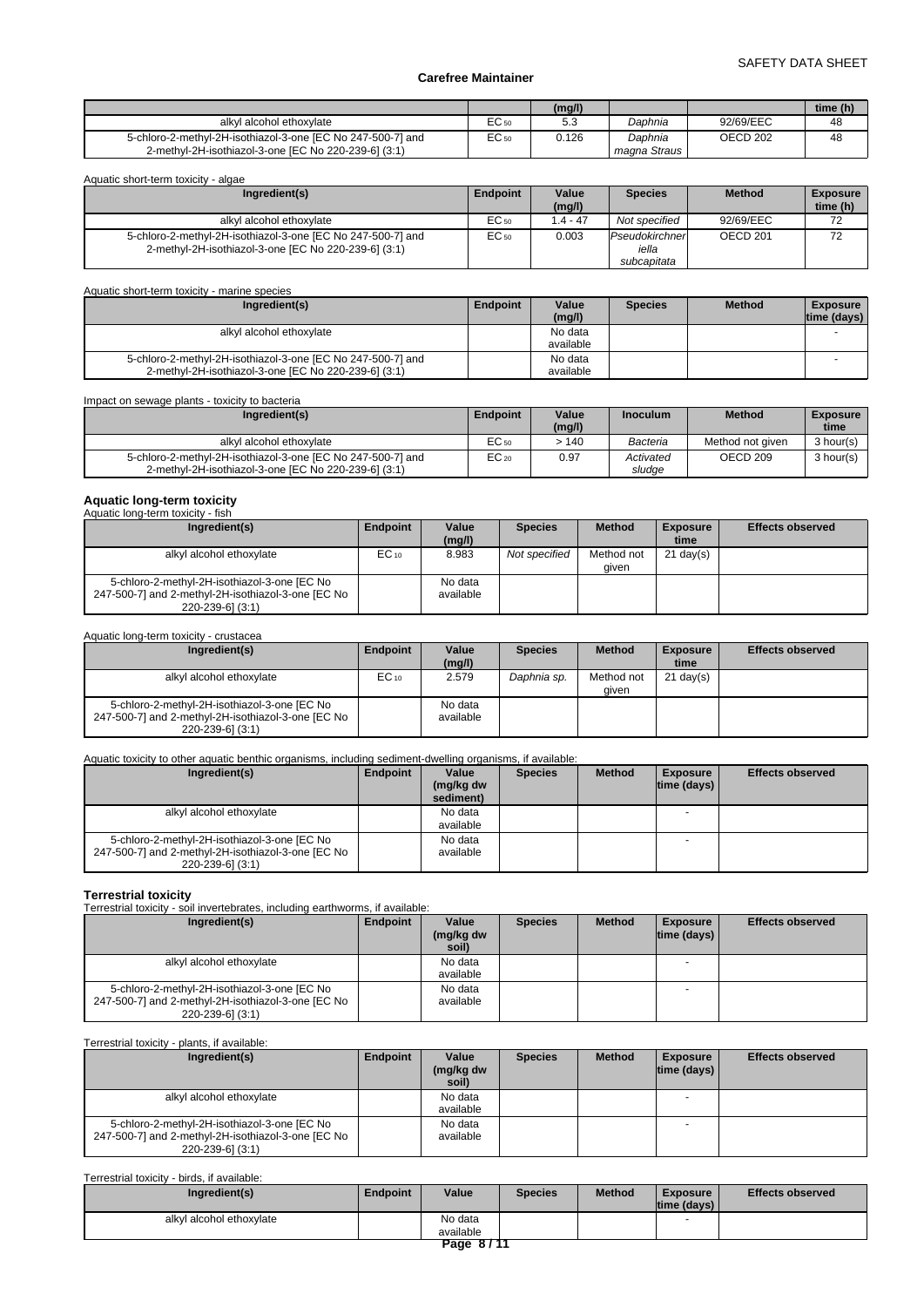|                                                             |                  | (mg/l) |              |           | time (h) |
|-------------------------------------------------------------|------------------|--------|--------------|-----------|----------|
| alkyl alcohol ethoxylate                                    | $\sim$<br>EÜ 50  | ن.ر    | Daphnia      | 92/69/EEC | 48       |
| 5-chloro-2-methyl-2H-isothiazol-3-one [EC No 247-500-7] and | EC <sub>50</sub> | 0.126  | Daphnia      | OECD 202  | 48       |
| 2-methyl-2H-isothiazol-3-one [EC No 220-239-6] (3:1)        |                  |        | magna Straus |           |          |

| Aquatic short-term toxicity - algae                                                                                 |          |                 |                                        |               |                             |  |  |  |
|---------------------------------------------------------------------------------------------------------------------|----------|-----------------|----------------------------------------|---------------|-----------------------------|--|--|--|
| Ingredient(s)                                                                                                       | Endpoint | Value<br>(mg/l) | <b>Species</b>                         | <b>Method</b> | <b>Exposure</b><br>time (h) |  |  |  |
| alkyl alcohol ethoxylate                                                                                            | EC 50    | $.4 - 47$       | Not specified                          | 92/69/EEC     | 72                          |  |  |  |
| 5-chloro-2-methyl-2H-isothiazol-3-one [EC No 247-500-7] and<br>2-methyl-2H-isothiazol-3-one [EC No 220-239-6] (3:1) | EC 50    | 0.003           | Pseudokirchner<br>iella<br>subcapitata | OECD 201      | 72                          |  |  |  |

| Aquatic short-term toxicity - marine species                                                                        |          |                      |                |               |                                  |  |  |  |
|---------------------------------------------------------------------------------------------------------------------|----------|----------------------|----------------|---------------|----------------------------------|--|--|--|
| Ingredient(s)                                                                                                       | Endpoint | Value<br>(mg/l)      | <b>Species</b> | <b>Method</b> | <b>Exposure</b><br>$time$ (days) |  |  |  |
| alkyl alcohol ethoxylate                                                                                            |          | No data<br>available |                |               |                                  |  |  |  |
| 5-chloro-2-methyl-2H-isothiazol-3-one [EC No 247-500-7] and<br>2-methyl-2H-isothiazol-3-one [EC No 220-239-6] (3:1) |          | No data<br>available |                |               |                                  |  |  |  |

Impact on sewage plants - toxicity to bacteria

| Ingredient(s)                                                                                                       | <b>Endpoint</b> | Value<br>(mg/l) | <b>Inoculum</b>     | <b>Method</b>    | <b>Exposure</b><br>time |
|---------------------------------------------------------------------------------------------------------------------|-----------------|-----------------|---------------------|------------------|-------------------------|
| alkyl alcohol ethoxylate                                                                                            | EC 50           | $-140$          | Bacteria            | Method not given | 3 hour(s)               |
| 5-chloro-2-methyl-2H-isothiazol-3-one [EC No 247-500-7] and<br>2-methyl-2H-isothiazol-3-one IEC No 220-239-61 (3:1) | $EC_{20}$       | 0.97            | Activated<br>sludae | OECD 209         | 3 hour(s)               |

# **Aquatic long-term toxicity** Aquatic long-term toxicity - fish

| Ingredient(s)                                                                                                          | Endpoint  | Value<br>(mg/l)      | <b>Species</b> | <b>Method</b>       | <b>Exposure</b><br>time | <b>Effects observed</b> |
|------------------------------------------------------------------------------------------------------------------------|-----------|----------------------|----------------|---------------------|-------------------------|-------------------------|
| alkyl alcohol ethoxylate                                                                                               | $EC_{10}$ | 8.983                | Not specified  | Method not<br>aiven | $21 \text{ day}(s)$     |                         |
| 5-chloro-2-methyl-2H-isothiazol-3-one [EC No<br>247-500-7] and 2-methyl-2H-isothiazol-3-one [EC No<br>220-239-6] (3:1) |           | No data<br>available |                |                     |                         |                         |

# Aquatic long-term toxicity - crustacea

| Ingredient(s)                                                                                                          | Endpoint  | Value<br>(mg/l)      | <b>Species</b> | <b>Method</b>       | <b>Exposure</b><br>time | <b>Effects observed</b> |
|------------------------------------------------------------------------------------------------------------------------|-----------|----------------------|----------------|---------------------|-------------------------|-------------------------|
| alkyl alcohol ethoxylate                                                                                               | $EC_{10}$ | 2.579                | Daphnia sp.    | Method not<br>aiven | $21 \text{ day}(s)$     |                         |
| 5-chloro-2-methyl-2H-isothiazol-3-one [EC No<br>247-500-7] and 2-methyl-2H-isothiazol-3-one [EC No<br>220-239-6] (3:1) |           | No data<br>available |                |                     |                         |                         |

# Aquatic toxicity to other aquatic benthic organisms, including sediment-dwelling organisms, if available:

| Ingredient(s)                                                                                                          | Endpoint | Value<br>(mg/kg dw<br>sediment) | <b>Species</b> | <b>Method</b> | <b>Exposure</b><br>$ time$ (days) $ $ | <b>Effects observed</b> |
|------------------------------------------------------------------------------------------------------------------------|----------|---------------------------------|----------------|---------------|---------------------------------------|-------------------------|
| alkyl alcohol ethoxylate                                                                                               |          | No data<br>available            |                |               |                                       |                         |
| 5-chloro-2-methyl-2H-isothiazol-3-one [EC No<br>247-500-7] and 2-methyl-2H-isothiazol-3-one [EC No<br>220-239-6] (3:1) |          | No data<br>available            |                |               |                                       |                         |

**Terrestrial toxicity** Terrestrial toxicity - soil invertebrates, including earthworms, if available:

| Ingredient(s)                                                                                                          | Endpoint | Value<br>(mg/kg dw<br>soil) | <b>Species</b> | <b>Method</b> | <b>Exposure</b><br>$ time$ (days) $ $ | <b>Effects observed</b> |
|------------------------------------------------------------------------------------------------------------------------|----------|-----------------------------|----------------|---------------|---------------------------------------|-------------------------|
| alkyl alcohol ethoxylate                                                                                               |          | No data<br>available        |                |               |                                       |                         |
| 5-chloro-2-methyl-2H-isothiazol-3-one [EC No<br>247-500-7] and 2-methyl-2H-isothiazol-3-one [EC No<br>220-239-6] (3:1) |          | No data<br>available        |                |               |                                       |                         |

# Terrestrial toxicity - plants, if available:

| Ingredient(s)                                                                                                          | Endpoint | Value<br>(mg/kg dw<br>soil) | <b>Species</b> | <b>Method</b> | <b>Exposure</b><br>$ time$ (days) $ $ | <b>Effects observed</b> |
|------------------------------------------------------------------------------------------------------------------------|----------|-----------------------------|----------------|---------------|---------------------------------------|-------------------------|
| alkyl alcohol ethoxylate                                                                                               |          | No data<br>available        |                |               |                                       |                         |
| 5-chloro-2-methyl-2H-isothiazol-3-one [EC No<br>247-500-7] and 2-methyl-2H-isothiazol-3-one [EC No<br>220-239-6] (3:1) |          | No data<br>available        |                |               |                                       |                         |

# Terrestrial toxicity - birds, if available:

| Ingredient(s)            | Endpoint | Value     | <b>Species</b> | <b>Method</b> | Exposure<br>$ time$ (days) $ $ | <b>Effects observed</b> |  |  |
|--------------------------|----------|-----------|----------------|---------------|--------------------------------|-------------------------|--|--|
| alkyl alcohol ethoxylate |          | No data   |                |               |                                |                         |  |  |
|                          |          | available |                |               |                                |                         |  |  |
| Page 8/11                |          |           |                |               |                                |                         |  |  |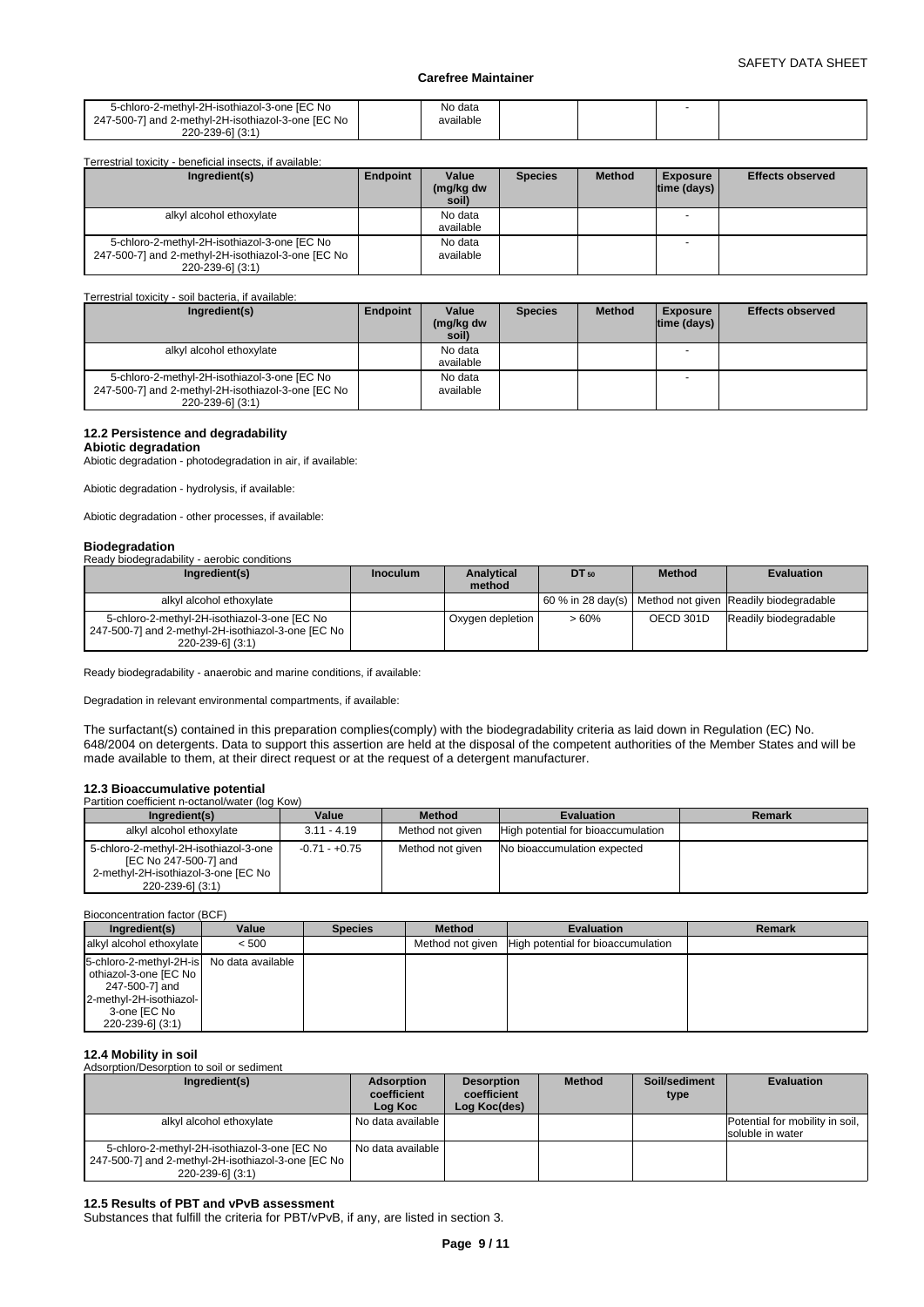| 5-chloro-2-methyl-2H-isothiazol-3-one [EC No<br>247-500-71 and 2-methvl-2H-isothiazol-3-one IEC No<br>220-239-61 (3:1) | No data<br>available |  |  |
|------------------------------------------------------------------------------------------------------------------------|----------------------|--|--|
|                                                                                                                        |                      |  |  |

| Terrestrial toxicity - beneficial insects, if available:                                                               |                 |                             |                |               |                                       |                         |
|------------------------------------------------------------------------------------------------------------------------|-----------------|-----------------------------|----------------|---------------|---------------------------------------|-------------------------|
| Ingredient(s)                                                                                                          | <b>Endpoint</b> | Value<br>(mg/kg dw<br>soil) | <b>Species</b> | <b>Method</b> | <b>Exposure</b><br>$ time$ (days) $ $ | <b>Effects observed</b> |
| alkyl alcohol ethoxylate                                                                                               |                 | No data<br>available        |                |               |                                       |                         |
| 5-chloro-2-methyl-2H-isothiazol-3-one [EC No<br>247-500-7] and 2-methyl-2H-isothiazol-3-one [EC No<br>220-239-6] (3:1) |                 | No data<br>available        |                |               |                                       |                         |

Terrestrial toxicity - soil bacteria, if available:

| Ingredient(s)                                                                                                          | Endpoint | Value<br>(mg/kg dw<br>soil) | <b>Species</b> | <b>Method</b> | <b>Exposure</b><br>$ time$ (days) $ $ | <b>Effects observed</b> |
|------------------------------------------------------------------------------------------------------------------------|----------|-----------------------------|----------------|---------------|---------------------------------------|-------------------------|
| alkyl alcohol ethoxylate                                                                                               |          | No data<br>available        |                |               |                                       |                         |
| 5-chloro-2-methyl-2H-isothiazol-3-one [EC No<br>247-500-7] and 2-methyl-2H-isothiazol-3-one [EC No<br>220-239-6] (3:1) |          | No data<br>available        |                |               |                                       |                         |

# **12.2 Persistence and degradability**

# **Abiotic degradation**

Abiotic degradation - photodegradation in air, if available:

Abiotic degradation - hydrolysis, if available:

Abiotic degradation - other processes, if available:

# **Biodegradation**

#### Ready biodegradability - aerobic conditions

| Ingredient(s)                                                                                                            | <b>Inoculum</b> | <b>Analytical</b><br>method | DT 50   | <b>Method</b> | <b>Evaluation</b>                                         |
|--------------------------------------------------------------------------------------------------------------------------|-----------------|-----------------------------|---------|---------------|-----------------------------------------------------------|
| alkyl alcohol ethoxylate                                                                                                 |                 |                             |         |               | 160 % in 28 day(s) Method not given Readily biodegradable |
| 5-chloro-2-methyl-2H-isothiazol-3-one [EC No<br>247-500-7] and 2-methyl-2H-isothiazol-3-one [EC No  <br>220-239-61 (3:1) |                 | Oxygen depletion            | $>60\%$ | OECD 301D     | Readily biodegradable                                     |

Ready biodegradability - anaerobic and marine conditions, if available:

Degradation in relevant environmental compartments, if available:

The surfactant(s) contained in this preparation complies(comply) with the biodegradability criteria as laid down in Regulation (EC) No. 648/2004 on detergents. Data to support this assertion are held at the disposal of the competent authorities of the Member States and will be made available to them, at their direct request or at the request of a detergent manufacturer.

# **12.3 Bioaccumulative potential**

| Partition coefficient n-octanol/water (log Kow)                                                                           |                 |                  |                                    |        |  |  |  |
|---------------------------------------------------------------------------------------------------------------------------|-----------------|------------------|------------------------------------|--------|--|--|--|
| Ingredient(s)                                                                                                             | Value           | <b>Method</b>    | Evaluation                         | Remark |  |  |  |
| alkyl alcohol ethoxylate                                                                                                  | $3.11 - 4.19$   | Method not given | High potential for bioaccumulation |        |  |  |  |
| 5-chloro-2-methyl-2H-isothiazol-3-one<br>[EC No 247-500-7] and<br>2-methyl-2H-isothiazol-3-one [EC No<br>220-239-6] (3:1) | $-0.71 - +0.75$ | Method not given | No bioaccumulation expected        |        |  |  |  |

Bioconcentration factor (BCF)

| Ingredient(s)                                                                                                                                         | Value | <b>Species</b> | <b>Method</b>    | <b>Evaluation</b>                  | <b>Remark</b> |
|-------------------------------------------------------------------------------------------------------------------------------------------------------|-------|----------------|------------------|------------------------------------|---------------|
| alkyl alcohol ethoxylate                                                                                                                              | < 500 |                | Method not given | High potential for bioaccumulation |               |
| 5-chloro-2-methyl-2H-is No data available<br>othiazol-3-one [EC No ]<br>247-500-7] and<br>2-methyl-2H-isothiazol-<br>3-one [EC No<br>220-239-61 (3:1) |       |                |                  |                                    |               |

# **12.4 Mobility in soil**

Adsorption/Desorption to soil or sediment

| Ingredient(s)                                                                                                            | <b>Adsorption</b><br>coefficient<br>Loa Koc | <b>Desorption</b><br>coefficient<br>Log Koc(des) | <b>Method</b> | Soil/sediment<br>type | <b>Evaluation</b>                                   |
|--------------------------------------------------------------------------------------------------------------------------|---------------------------------------------|--------------------------------------------------|---------------|-----------------------|-----------------------------------------------------|
| alkyl alcohol ethoxylate                                                                                                 | No data available                           |                                                  |               |                       | Potential for mobility in soil,<br>soluble in water |
| 5-chloro-2-methyl-2H-isothiazol-3-one [EC No<br>247-500-7] and 2-methyl-2H-isothiazol-3-one [EC No  <br>220-239-61 (3:1) | No data available                           |                                                  |               |                       |                                                     |

# **12.5 Results of PBT and vPvB assessment**

Substances that fulfill the criteria for PBT/vPvB, if any, are listed in section 3.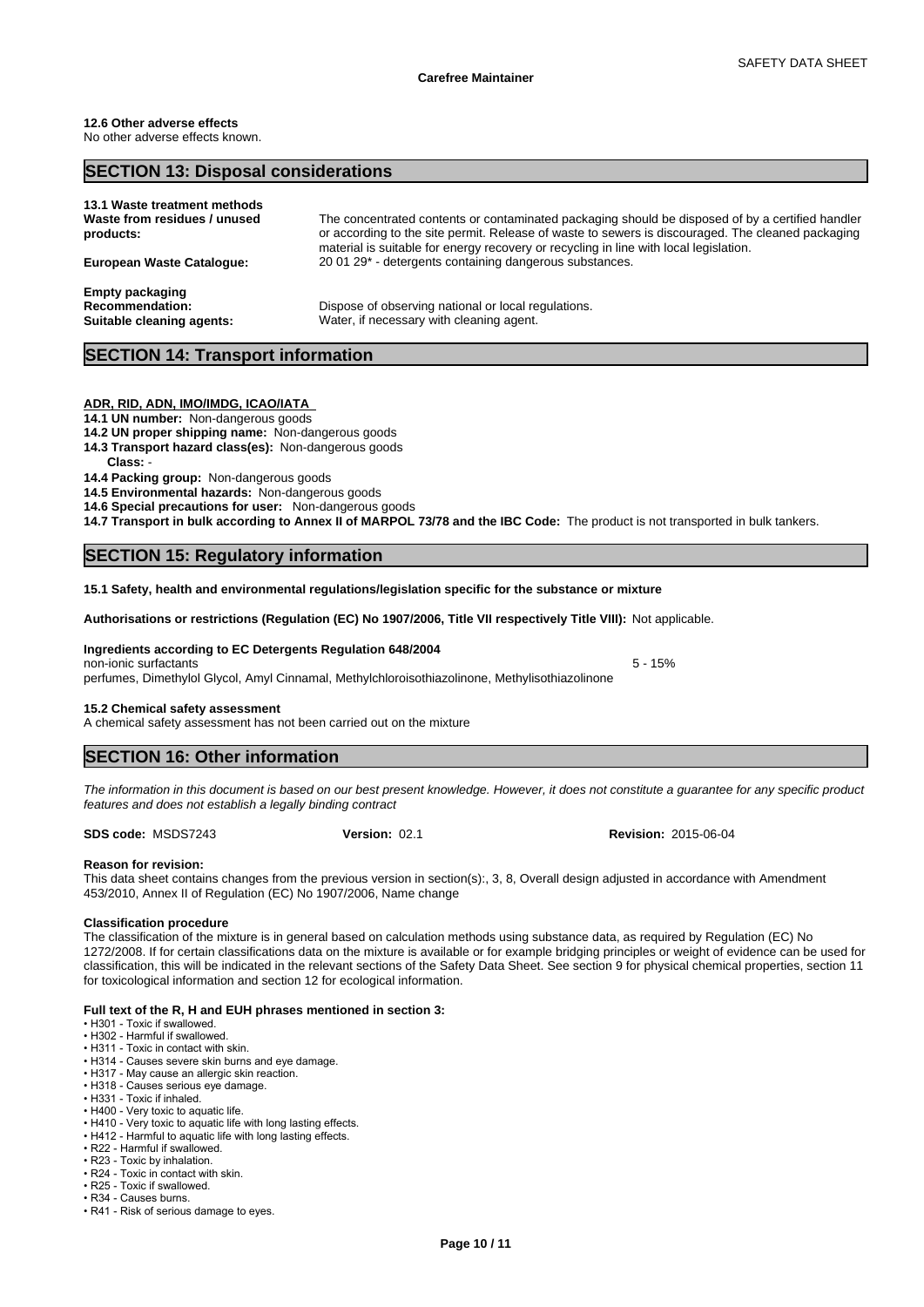#### **12.6 Other adverse effects** No other adverse effects known.

# **SECTION 13: Disposal considerations 13.1 Waste treatment methods Waste from residues / unused products:** The concentrated contents or contaminated packaging should be disposed of by a certified handler or according to the site permit. Release of waste to sewers is discouraged. The cleaned packaging material is suitable for energy recovery or recycling in line with local legislation. **European Waste Catalogue:** 20 01 29\* - detergents containing dangerous substances. **Empty packaging Recommendation:** Dispose of observing national or local regulations. **Suitable cleaning agents:** Water, if necessary with cleaning agent.

# **SECTION 14: Transport information**

# **ADR, RID, ADN, IMO/IMDG, ICAO/IATA**

**14.1 UN number:** Non-dangerous goods

- **14.2 UN proper shipping name:** Non-dangerous goods
- **14.3 Transport hazard class(es):** Non-dangerous goods

Class:

**14.4 Packing group:** Non-dangerous goods

**14.5 Environmental hazards:** Non-dangerous goods

**14.6 Special precautions for user:** Non-dangerous goods

**14.7 Transport in bulk according to Annex II of MARPOL 73/78 and the IBC Code:** The product is not transported in bulk tankers.

# **SECTION 15: Regulatory information**

**15.1 Safety, health and environmental regulations/legislation specific for the substance or mixture**

**Authorisations or restrictions (Regulation (EC) No 1907/2006, Title VII respectively Title VIII):** Not applicable.

**Ingredients according to EC Detergents Regulation 648/2004**

non-ionic surfactants 5 - 15% perfumes, Dimethylol Glycol, Amyl Cinnamal, Methylchloroisothiazolinone, Methylisothiazolinone

# **15.2 Chemical safety assessment**

A chemical safety assessment has not been carried out on the mixture

# **SECTION 16: Other information**

*The information in this document is based on our best present knowledge. However, it does not constitute a guarantee for any specific product features and does not establish a legally binding contract*

**SDS code:** MSDS7243

# **Reason for revision:**

This data sheet contains changes from the previous version in section(s):, 3, 8, Overall design adjusted in accordance with Amendment 453/2010, Annex II of Regulation (EC) No 1907/2006, Name change

# **Classification procedure**

The classification of the mixture is in general based on calculation methods using substance data, as required by Regulation (EC) No 1272/2008. If for certain classifications data on the mixture is available or for example bridging principles or weight of evidence can be used for classification, this will be indicated in the relevant sections of the Safety Data Sheet. See section 9 for physical chemical properties, section 11 for toxicological information and section 12 for ecological information.

### **Full text of the R, H and EUH phrases mentioned in section 3:**

- H301 Toxic if swallowed.
- H302 Harmful if swallowed.
- H311 Toxic in contact with skin.
- H314 Causes severe skin burns and eye damage.
- H317 May cause an allergic skin reaction. • H318 - Causes serious eye damage.
- H331 Toxic if inhaled.
- H400 Very toxic to aquatic life.
- H410 Very toxic to aquatic life with long lasting effects.
- H412 Harmful to aquatic life with long lasting effects.
- R22 Harmful if swallowed.
- R23 Toxic by inhalation.
- R24 Toxic in contact with skin.
- R25 Toxic if swallowed.
- R34 Causes burns.
- R41 Risk of serious damage to eyes.

**Version:** 02.1 **Revision:** 2015-06-04